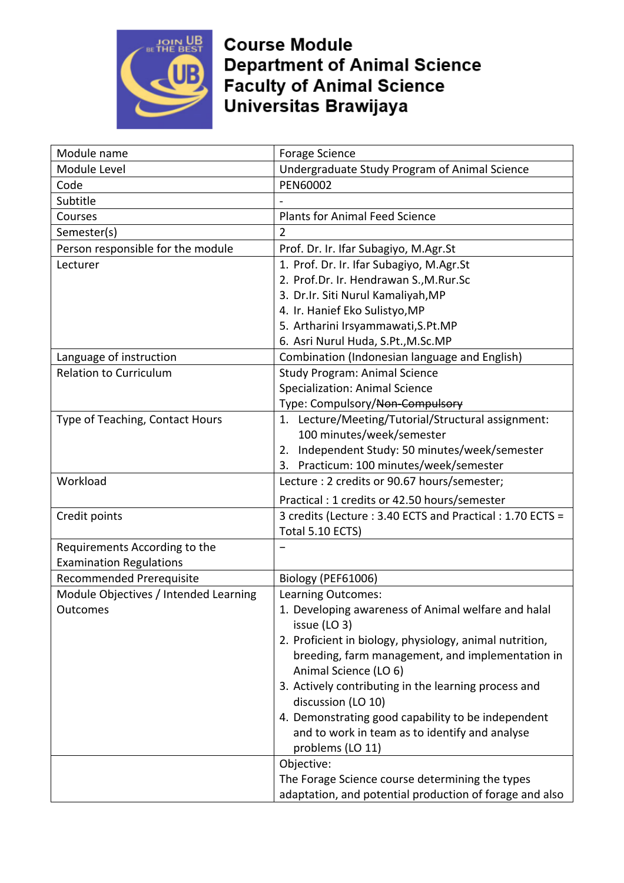

**Course Module Department of Animal Science Faculty of Animal Science** Universitas Brawijaya

| Module name                           | <b>Forage Science</b>                                                                                      |
|---------------------------------------|------------------------------------------------------------------------------------------------------------|
| Module Level                          | Undergraduate Study Program of Animal Science                                                              |
| Code                                  | PEN60002                                                                                                   |
| Subtitle                              |                                                                                                            |
| Courses                               | <b>Plants for Animal Feed Science</b>                                                                      |
| Semester(s)                           | $\overline{2}$                                                                                             |
| Person responsible for the module     | Prof. Dr. Ir. Ifar Subagiyo, M.Agr.St                                                                      |
| Lecturer                              | 1. Prof. Dr. Ir. Ifar Subagiyo, M.Agr.St                                                                   |
|                                       | 2. Prof.Dr. Ir. Hendrawan S., M.Rur.Sc                                                                     |
|                                       | 3. Dr.Ir. Siti Nurul Kamaliyah, MP                                                                         |
|                                       | 4. Ir. Hanief Eko Sulistyo, MP                                                                             |
|                                       | 5. Artharini Irsyammawati, S.Pt.MP                                                                         |
|                                       | 6. Asri Nurul Huda, S.Pt., M.Sc.MP                                                                         |
| Language of instruction               | Combination (Indonesian language and English)                                                              |
| <b>Relation to Curriculum</b>         | <b>Study Program: Animal Science</b>                                                                       |
|                                       | <b>Specialization: Animal Science</b>                                                                      |
|                                       | Type: Compulsory/Non-Compulsory                                                                            |
| Type of Teaching, Contact Hours       | 1. Lecture/Meeting/Tutorial/Structural assignment:                                                         |
|                                       | 100 minutes/week/semester                                                                                  |
|                                       | Independent Study: 50 minutes/week/semester<br>2.                                                          |
|                                       | Practicum: 100 minutes/week/semester<br>3.                                                                 |
| Workload                              | Lecture : 2 credits or 90.67 hours/semester;                                                               |
|                                       | Practical: 1 credits or 42.50 hours/semester                                                               |
| Credit points                         | 3 credits (Lecture : 3.40 ECTS and Practical : 1.70 ECTS =                                                 |
|                                       | Total 5.10 ECTS)                                                                                           |
|                                       |                                                                                                            |
| Requirements According to the         |                                                                                                            |
| <b>Examination Regulations</b>        |                                                                                                            |
| <b>Recommended Prerequisite</b>       | Biology (PEF61006)                                                                                         |
| Module Objectives / Intended Learning | Learning Outcomes:                                                                                         |
| Outcomes                              | 1. Developing awareness of Animal welfare and halal                                                        |
|                                       | issue (LO 3)                                                                                               |
|                                       | 2. Proficient in biology, physiology, animal nutrition,                                                    |
|                                       | breeding, farm management, and implementation in                                                           |
|                                       | Animal Science (LO 6)                                                                                      |
|                                       | 3. Actively contributing in the learning process and                                                       |
|                                       | discussion (LO 10)                                                                                         |
|                                       | 4. Demonstrating good capability to be independent                                                         |
|                                       | and to work in team as to identify and analyse                                                             |
|                                       | problems (LO 11)                                                                                           |
|                                       | Objective:                                                                                                 |
|                                       | The Forage Science course determining the types<br>adaptation, and potential production of forage and also |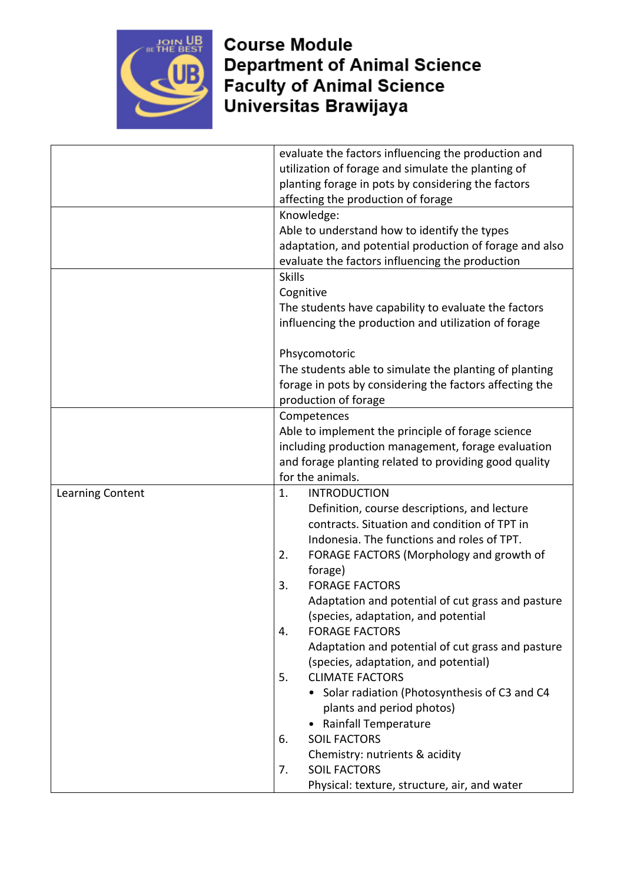

**Course Module Department of Animal Science Faculty of Animal Science**<br>Universitas Brawijaya

|                  | evaluate the factors influencing the production and     |
|------------------|---------------------------------------------------------|
|                  | utilization of forage and simulate the planting of      |
|                  | planting forage in pots by considering the factors      |
|                  | affecting the production of forage                      |
|                  | Knowledge:                                              |
|                  | Able to understand how to identify the types            |
|                  | adaptation, and potential production of forage and also |
|                  | evaluate the factors influencing the production         |
|                  | <b>Skills</b>                                           |
|                  | Cognitive                                               |
|                  | The students have capability to evaluate the factors    |
|                  | influencing the production and utilization of forage    |
|                  |                                                         |
|                  | Phsycomotoric                                           |
|                  | The students able to simulate the planting of planting  |
|                  | forage in pots by considering the factors affecting the |
|                  | production of forage                                    |
|                  | Competences                                             |
|                  | Able to implement the principle of forage science       |
|                  | including production management, forage evaluation      |
|                  | and forage planting related to providing good quality   |
|                  | for the animals.                                        |
| Learning Content | 1.<br><b>INTRODUCTION</b>                               |
|                  | Definition, course descriptions, and lecture            |
|                  | contracts. Situation and condition of TPT in            |
|                  | Indonesia. The functions and roles of TPT.              |
|                  | FORAGE FACTORS (Morphology and growth of<br>2.          |
|                  | forage)                                                 |
|                  | <b>FORAGE FACTORS</b><br>3.                             |
|                  | Adaptation and potential of cut grass and pasture       |
|                  | (species, adaptation, and potential                     |
|                  | <b>FORAGE FACTORS</b><br>4.                             |
|                  | Adaptation and potential of cut grass and pasture       |
|                  | (species, adaptation, and potential)                    |
|                  | 5.<br><b>CLIMATE FACTORS</b>                            |
|                  | • Solar radiation (Photosynthesis of C3 and C4          |
|                  | plants and period photos)                               |
|                  | • Rainfall Temperature                                  |
|                  | <b>SOIL FACTORS</b><br>6.                               |
|                  | Chemistry: nutrients & acidity                          |
|                  | <b>SOIL FACTORS</b><br>7.                               |
|                  | Physical: texture, structure, air, and water            |
|                  |                                                         |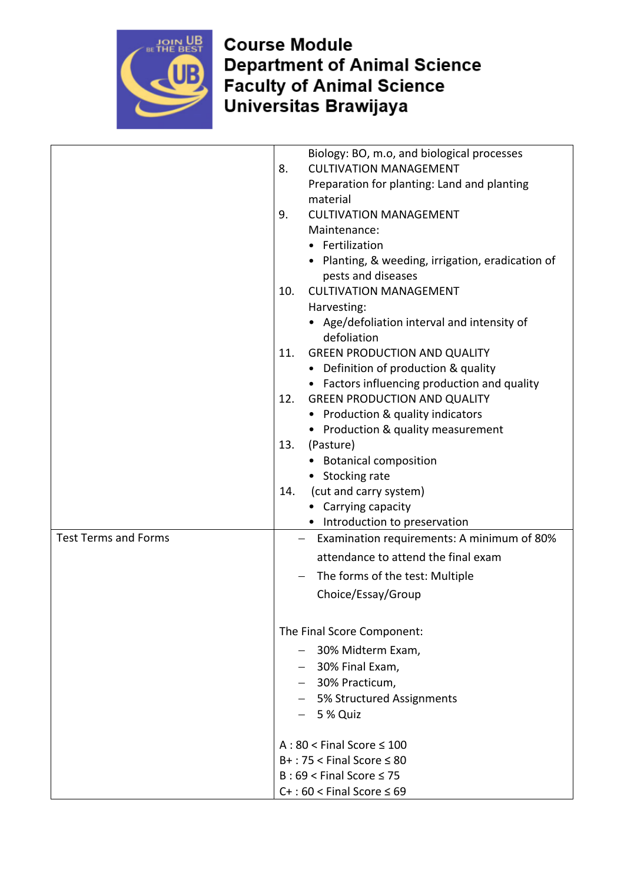

**Course Module Department of Animal Science Faculty of Animal Science**<br>Universitas Brawijaya

|                             | Biology: BO, m.o, and biological processes                              |
|-----------------------------|-------------------------------------------------------------------------|
|                             | <b>CULTIVATION MANAGEMENT</b><br>8.                                     |
|                             | Preparation for planting: Land and planting                             |
|                             | material                                                                |
|                             | <b>CULTIVATION MANAGEMENT</b><br>9.                                     |
|                             | Maintenance:                                                            |
|                             | • Fertilization                                                         |
|                             | • Planting, & weeding, irrigation, eradication of<br>pests and diseases |
|                             | <b>CULTIVATION MANAGEMENT</b><br>10.                                    |
|                             | Harvesting:                                                             |
|                             | • Age/defoliation interval and intensity of<br>defoliation              |
|                             | <b>GREEN PRODUCTION AND QUALITY</b><br>11.                              |
|                             | • Definition of production & quality                                    |
|                             | • Factors influencing production and quality                            |
|                             | <b>GREEN PRODUCTION AND QUALITY</b><br>12.                              |
|                             | • Production & quality indicators                                       |
|                             | • Production & quality measurement                                      |
|                             | 13.<br>(Pasture)                                                        |
|                             | <b>Botanical composition</b>                                            |
|                             | • Stocking rate                                                         |
|                             | (cut and carry system)<br>14.                                           |
|                             | • Carrying capacity                                                     |
|                             | • Introduction to preservation                                          |
| <b>Test Terms and Forms</b> | Examination requirements: A minimum of 80%                              |
|                             | attendance to attend the final exam                                     |
|                             | The forms of the test: Multiple                                         |
|                             | Choice/Essay/Group                                                      |
|                             | The Final Score Component:                                              |
|                             |                                                                         |
|                             | - 30% Midterm Exam,                                                     |
|                             | $-$ 30% Final Exam,                                                     |
|                             | - 30% Practicum,                                                        |
|                             | - 5% Structured Assignments                                             |
|                             | $-5%$ Quiz                                                              |
|                             | $A:80 <$ Final Score $\leq 100$                                         |
|                             | $B+$ : 75 < Final Score $\leq 80$                                       |
|                             | $B:69 <$ Final Score $\leq 75$                                          |
|                             | $C+$ : 60 < Final Score $\leq 69$                                       |